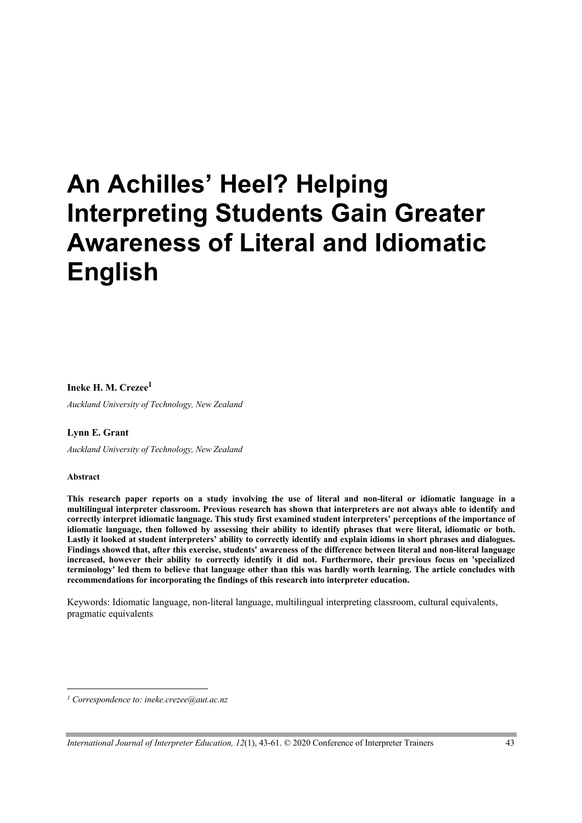# **An Achilles' Heel? Helping Interpreting Students Gain Greater Awareness of Literal and Idiomatic English**

## **Ineke H. M. Crezee1**

*Auckland University of Technology, New Zealand*

#### **Lynn E. Grant**

*Auckland University of Technology, New Zealand*

#### **Abstract**

**This research paper reports on a study involving the use of literal and non-literal or idiomatic language in a multilingual interpreter classroom. Previous research has shown that interpreters are not always able to identify and correctly interpret idiomatic language. This study first examined student interpreters' perceptions of the importance of idiomatic language, then followed by assessing their ability to identify phrases that were literal, idiomatic or both. Lastly it looked at student interpreters' ability to correctly identify and explain idioms in short phrases and dialogues. Findings showed that, after this exercise, students' awareness of the difference between literal and non-literal language increased, however their ability to correctly identify it did not. Furthermore, their previous focus on 'specialized terminology' led them to believe that language other than this was hardly worth learning. The article concludes with recommendations for incorporating the findings of this research into interpreter education.**

Keywords: Idiomatic language, non-literal language, multilingual interpreting classroom, cultural equivalents, pragmatic equivalents

*<sup>1</sup> Correspondence to: ineke.crezee@aut.ac.nz*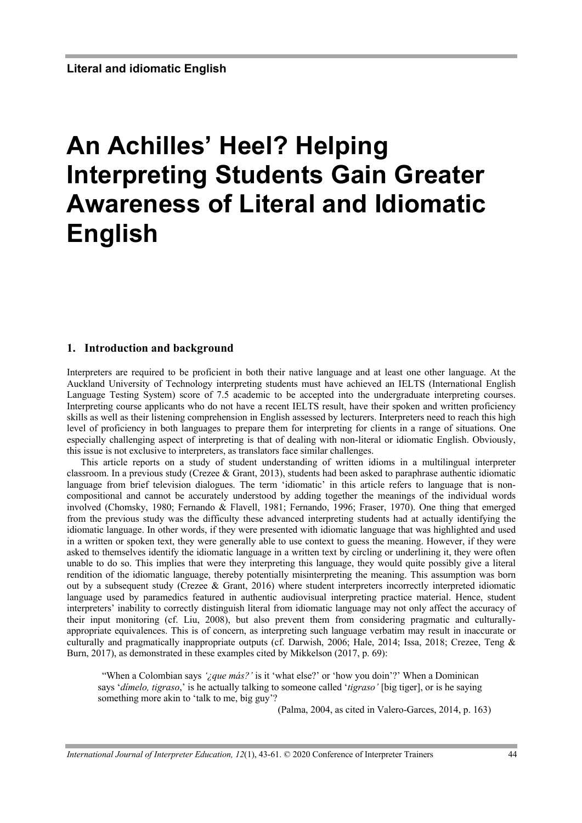# **An Achilles' Heel? Helping Interpreting Students Gain Greater Awareness of Literal and Idiomatic English**

## **1. Introduction and background**

Interpreters are required to be proficient in both their native language and at least one other language. At the Auckland University of Technology interpreting students must have achieved an IELTS (International English Language Testing System) score of 7.5 academic to be accepted into the undergraduate interpreting courses. Interpreting course applicants who do not have a recent IELTS result, have their spoken and written proficiency skills as well as their listening comprehension in English assessed by lecturers. Interpreters need to reach this high level of proficiency in both languages to prepare them for interpreting for clients in a range of situations. One especially challenging aspect of interpreting is that of dealing with non-literal or idiomatic English. Obviously, this issue is not exclusive to interpreters, as translators face similar challenges.

This article reports on a study of student understanding of written idioms in a multilingual interpreter classroom. In a previous study (Crezee & Grant, 2013), students had been asked to paraphrase authentic idiomatic language from brief television dialogues. The term 'idiomatic' in this article refers to language that is noncompositional and cannot be accurately understood by adding together the meanings of the individual words involved (Chomsky, 1980; Fernando & Flavell, 1981; Fernando, 1996; Fraser, 1970). One thing that emerged from the previous study was the difficulty these advanced interpreting students had at actually identifying the idiomatic language. In other words, if they were presented with idiomatic language that was highlighted and used in a written or spoken text, they were generally able to use context to guess the meaning. However, if they were asked to themselves identify the idiomatic language in a written text by circling or underlining it, they were often unable to do so. This implies that were they interpreting this language, they would quite possibly give a literal rendition of the idiomatic language, thereby potentially misinterpreting the meaning. This assumption was born out by a subsequent study (Crezee & Grant, 2016) where student interpreters incorrectly interpreted idiomatic language used by paramedics featured in authentic audiovisual interpreting practice material. Hence, student interpreters' inability to correctly distinguish literal from idiomatic language may not only affect the accuracy of their input monitoring (cf. Liu, 2008), but also prevent them from considering pragmatic and culturallyappropriate equivalences. This is of concern, as interpreting such language verbatim may result in inaccurate or culturally and pragmatically inappropriate outputs (cf. Darwish, 2006; Hale, 2014; Issa, 2018; Crezee, Teng & Burn, 2017), as demonstrated in these examples cited by Mikkelson (2017, p. 69):

"When a Colombian says *'¿que más?'* is it 'what else?' or 'how you doin'?' When a Dominican says '*dímelo, tigraso*,' is he actually talking to someone called '*tigraso'* [big tiger], or is he saying something more akin to 'talk to me, big guy'?

(Palma, 2004, as cited in Valero-Garces, 2014, p. 163)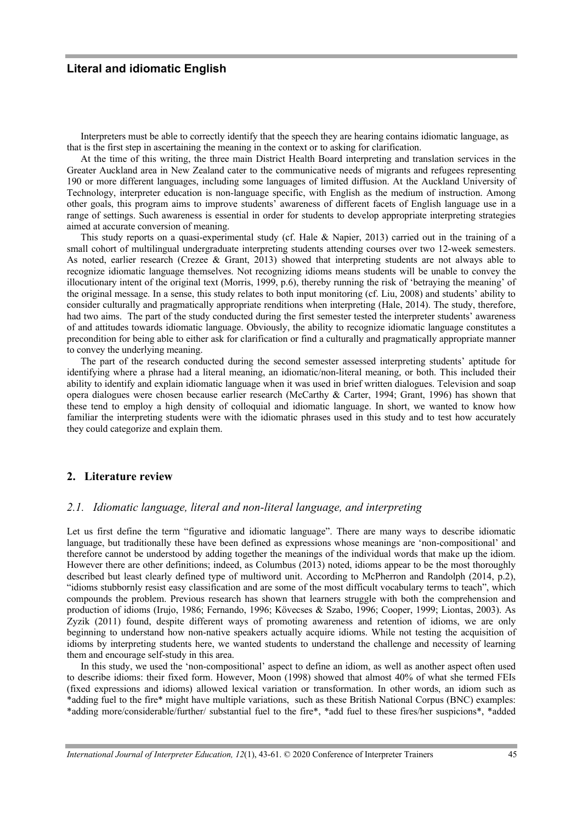Interpreters must be able to correctly identify that the speech they are hearing contains idiomatic language, as that is the first step in ascertaining the meaning in the context or to asking for clarification.

At the time of this writing, the three main District Health Board interpreting and translation services in the Greater Auckland area in New Zealand cater to the communicative needs of migrants and refugees representing 190 or more different languages, including some languages of limited diffusion. At the Auckland University of Technology, interpreter education is non-language specific, with English as the medium of instruction. Among other goals, this program aims to improve students' awareness of different facets of English language use in a range of settings. Such awareness is essential in order for students to develop appropriate interpreting strategies aimed at accurate conversion of meaning.

This study reports on a quasi-experimental study (cf. Hale & Napier, 2013) carried out in the training of a small cohort of multilingual undergraduate interpreting students attending courses over two 12-week semesters. As noted, earlier research (Crezee & Grant, 2013) showed that interpreting students are not always able to recognize idiomatic language themselves. Not recognizing idioms means students will be unable to convey the illocutionary intent of the original text (Morris, 1999, p.6), thereby running the risk of 'betraying the meaning' of the original message. In a sense, this study relates to both input monitoring (cf. Liu, 2008) and students' ability to consider culturally and pragmatically appropriate renditions when interpreting (Hale, 2014). The study, therefore, had two aims. The part of the study conducted during the first semester tested the interpreter students' awareness of and attitudes towards idiomatic language. Obviously, the ability to recognize idiomatic language constitutes a precondition for being able to either ask for clarification or find a culturally and pragmatically appropriate manner to convey the underlying meaning.

The part of the research conducted during the second semester assessed interpreting students' aptitude for identifying where a phrase had a literal meaning, an idiomatic/non-literal meaning, or both. This included their ability to identify and explain idiomatic language when it was used in brief written dialogues. Television and soap opera dialogues were chosen because earlier research (McCarthy & Carter, 1994; Grant, 1996) has shown that these tend to employ a high density of colloquial and idiomatic language. In short, we wanted to know how familiar the interpreting students were with the idiomatic phrases used in this study and to test how accurately they could categorize and explain them.

#### **2. Literature review**

## *2.1. Idiomatic language, literal and non-literal language, and interpreting*

Let us first define the term "figurative and idiomatic language". There are many ways to describe idiomatic language, but traditionally these have been defined as expressions whose meanings are 'non-compositional' and therefore cannot be understood by adding together the meanings of the individual words that make up the idiom. However there are other definitions; indeed, as Columbus (2013) noted, idioms appear to be the most thoroughly described but least clearly defined type of multiword unit. According to McPherron and Randolph (2014, p.2), "idioms stubbornly resist easy classification and are some of the most difficult vocabulary terms to teach", which compounds the problem. Previous research has shown that learners struggle with both the comprehension and production of idioms (Irujo, 1986; Fernando, 1996; Kövecses & Szabo, 1996; Cooper, 1999; Liontas, 2003). As Zyzik (2011) found, despite different ways of promoting awareness and retention of idioms, we are only beginning to understand how non-native speakers actually acquire idioms. While not testing the acquisition of idioms by interpreting students here, we wanted students to understand the challenge and necessity of learning them and encourage self-study in this area.

In this study, we used the 'non-compositional' aspect to define an idiom, as well as another aspect often used to describe idioms: their fixed form. However, Moon (1998) showed that almost 40% of what she termed FEIs (fixed expressions and idioms) allowed lexical variation or transformation. In other words, an idiom such as \*adding fuel to the fire\* might have multiple variations, such as these British National Corpus (BNC) examples: \*adding more/considerable/further/ substantial fuel to the fire\*, \*add fuel to these fires/her suspicions\*, \*added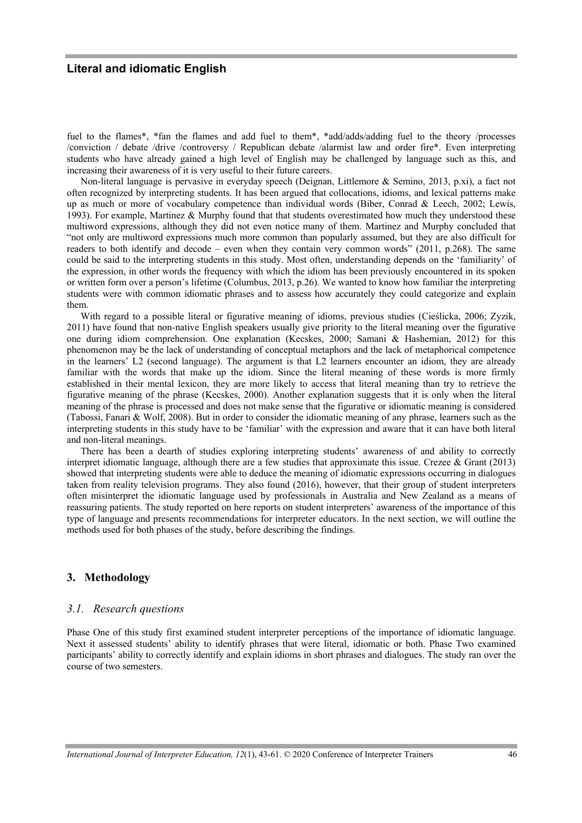fuel to the flames\*, \*fan the flames and add fuel to them\*, \*add/adds/adding fuel to the theory /processes /conviction / debate /drive /controversy / Republican debate /alarmist law and order fire\*. Even interpreting students who have already gained a high level of English may be challenged by language such as this, and increasing their awareness of it is very useful to their future careers.

Non-literal language is pervasive in everyday speech (Deignan, Littlemore & Semino, 2013, p.xi), a fact not often recognized by interpreting students. It has been argued that collocations, idioms, and lexical patterns make up as much or more of vocabulary competence than individual words (Biber, Conrad & Leech, 2002; Lewis, 1993). For example, Martinez & Murphy found that that students overestimated how much they understood these multiword expressions, although they did not even notice many of them. Martinez and Murphy concluded that "not only are multiword expressions much more common than popularly assumed, but they are also difficult for readers to both identify and decode – even when they contain very common words" (2011, p.268). The same could be said to the interpreting students in this study. Most often, understanding depends on the 'familiarity' of the expression, in other words the frequency with which the idiom has been previously encountered in its spoken or written form over a person's lifetime (Columbus, 2013, p.26). We wanted to know how familiar the interpreting students were with common idiomatic phrases and to assess how accurately they could categorize and explain them.

With regard to a possible literal or figurative meaning of idioms, previous studies (Cieślicka, 2006; Zyzik, 2011) have found that non-native English speakers usually give priority to the literal meaning over the figurative one during idiom comprehension. One explanation (Kecskes, 2000; Samani & Hashemian, 2012) for this phenomenon may be the lack of understanding of conceptual metaphors and the lack of metaphorical competence in the learners' L2 (second language). The argument is that L2 learners encounter an idiom, they are already familiar with the words that make up the idiom. Since the literal meaning of these words is more firmly established in their mental lexicon, they are more likely to access that literal meaning than try to retrieve the figurative meaning of the phrase (Kecskes, 2000). Another explanation suggests that it is only when the literal meaning of the phrase is processed and does not make sense that the figurative or idiomatic meaning is considered (Tabossi, Fanari & Wolf, 2008). But in order to consider the idiomatic meaning of any phrase, learners such as the interpreting students in this study have to be 'familiar' with the expression and aware that it can have both literal and non-literal meanings.

There has been a dearth of studies exploring interpreting students' awareness of and ability to correctly interpret idiomatic language, although there are a few studies that approximate this issue. Crezee & Grant (2013) showed that interpreting students were able to deduce the meaning of idiomatic expressions occurring in dialogues taken from reality television programs. They also found (2016), however, that their group of student interpreters often misinterpret the idiomatic language used by professionals in Australia and New Zealand as a means of reassuring patients. The study reported on here reports on student interpreters' awareness of the importance of this type of language and presents recommendations for interpreter educators. In the next section, we will outline the methods used for both phases of the study, before describing the findings.

## **3. Methodology**

#### *3.1. Research questions*

Phase One of this study first examined student interpreter perceptions of the importance of idiomatic language. Next it assessed students' ability to identify phrases that were literal, idiomatic or both. Phase Two examined participants' ability to correctly identify and explain idioms in short phrases and dialogues. The study ran over the course of two semesters.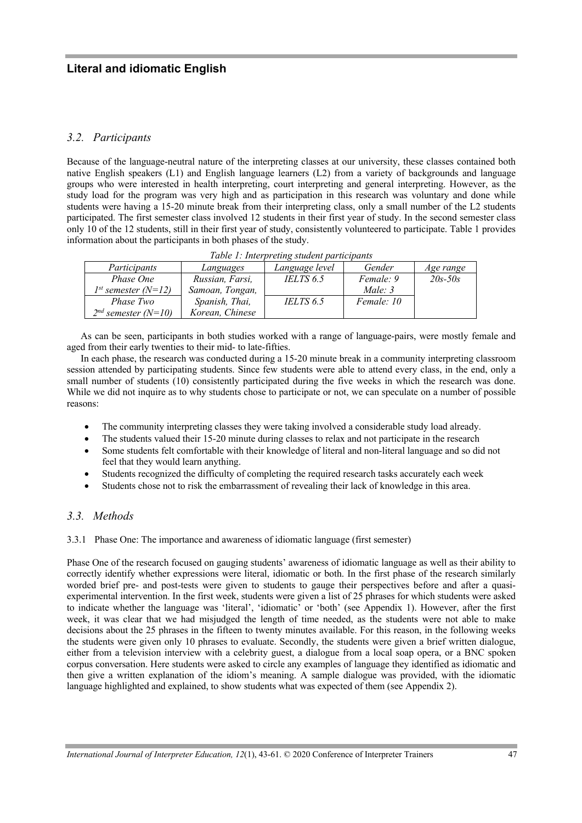# *3.2. Participants*

Because of the language-neutral nature of the interpreting classes at our university, these classes contained both native English speakers (L1) and English language learners (L2) from a variety of backgrounds and language groups who were interested in health interpreting, court interpreting and general interpreting. However, as the study load for the program was very high and as participation in this research was voluntary and done while students were having a 15-20 minute break from their interpreting class, only a small number of the L2 students participated. The first semester class involved 12 students in their first year of study. In the second semester class only 10 of the 12 students, still in their first year of study, consistently volunteered to participate. Table 1 provides information about the participants in both phases of the study.

| Table 1: Interpreting student participants |                 |                |            |             |  |  |
|--------------------------------------------|-----------------|----------------|------------|-------------|--|--|
| Participants                               | Languages       | Language level | Gender     | Age range   |  |  |
| Phase One                                  | Russian, Farsi, | IELTS 6.5      | Female: 9  | $20s - 50s$ |  |  |
| $1^{st}$ semester (N=12)                   | Samoan, Tongan, |                | Male: $3$  |             |  |  |
| <i>Phase Two</i>                           | Spanish, Thai,  | IELTS 6.5      | Female: 10 |             |  |  |
| $2^{nd}$ semester (N=10)                   | Korean, Chinese |                |            |             |  |  |

As can be seen, participants in both studies worked with a range of language-pairs, were mostly female and aged from their early twenties to their mid- to late-fifties.

In each phase, the research was conducted during a 15-20 minute break in a community interpreting classroom session attended by participating students. Since few students were able to attend every class, in the end, only a small number of students (10) consistently participated during the five weeks in which the research was done. While we did not inquire as to why students chose to participate or not, we can speculate on a number of possible reasons:

- The community interpreting classes they were taking involved a considerable study load already.
- The students valued their 15-20 minute during classes to relax and not participate in the research
- Some students felt comfortable with their knowledge of literal and non-literal language and so did not feel that they would learn anything.
- Students recognized the difficulty of completing the required research tasks accurately each week
- Students chose not to risk the embarrassment of revealing their lack of knowledge in this area.

# *3.3. Methods*

3.3.1 Phase One: The importance and awareness of idiomatic language (first semester)

Phase One of the research focused on gauging students' awareness of idiomatic language as well as their ability to correctly identify whether expressions were literal, idiomatic or both. In the first phase of the research similarly worded brief pre- and post-tests were given to students to gauge their perspectives before and after a quasiexperimental intervention. In the first week, students were given a list of 25 phrases for which students were asked to indicate whether the language was 'literal', 'idiomatic' or 'both' (see Appendix 1). However, after the first week, it was clear that we had misjudged the length of time needed, as the students were not able to make decisions about the 25 phrases in the fifteen to twenty minutes available. For this reason, in the following weeks the students were given only 10 phrases to evaluate. Secondly, the students were given a brief written dialogue, either from a television interview with a celebrity guest, a dialogue from a local soap opera, or a BNC spoken corpus conversation. Here students were asked to circle any examples of language they identified as idiomatic and then give a written explanation of the idiom's meaning. A sample dialogue was provided, with the idiomatic language highlighted and explained, to show students what was expected of them (see Appendix 2).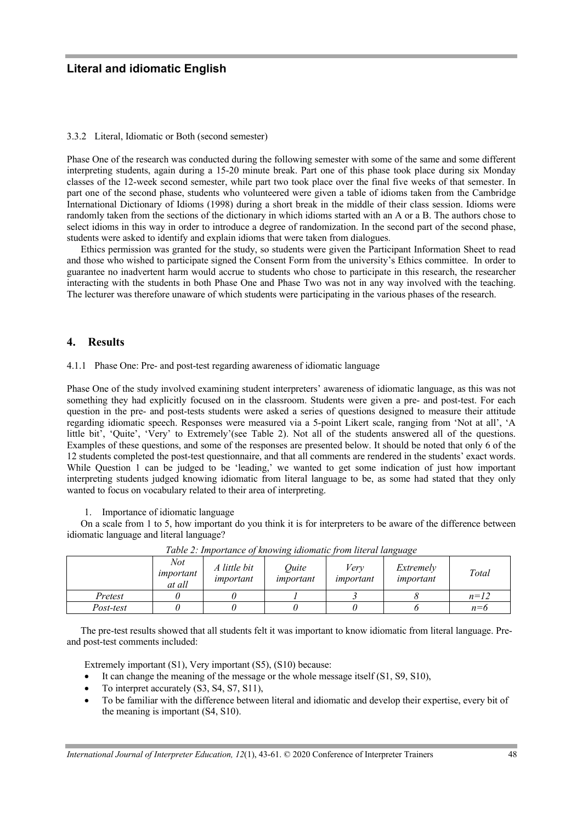#### 3.3.2 Literal, Idiomatic or Both (second semester)

Phase One of the research was conducted during the following semester with some of the same and some different interpreting students, again during a 15-20 minute break. Part one of this phase took place during six Monday classes of the 12-week second semester, while part two took place over the final five weeks of that semester. In part one of the second phase, students who volunteered were given a table of idioms taken from the Cambridge International Dictionary of Idioms (1998) during a short break in the middle of their class session. Idioms were randomly taken from the sections of the dictionary in which idioms started with an A or a B. The authors chose to select idioms in this way in order to introduce a degree of randomization. In the second part of the second phase, students were asked to identify and explain idioms that were taken from dialogues.

Ethics permission was granted for the study, so students were given the Participant Information Sheet to read and those who wished to participate signed the Consent Form from the university's Ethics committee. In order to guarantee no inadvertent harm would accrue to students who chose to participate in this research, the researcher interacting with the students in both Phase One and Phase Two was not in any way involved with the teaching. The lecturer was therefore unaware of which students were participating in the various phases of the research.

## **4. Results**

4.1.1 Phase One: Pre- and post-test regarding awareness of idiomatic language

Phase One of the study involved examining student interpreters' awareness of idiomatic language, as this was not something they had explicitly focused on in the classroom. Students were given a pre- and post-test. For each question in the pre- and post-tests students were asked a series of questions designed to measure their attitude regarding idiomatic speech. Responses were measured via a 5-point Likert scale, ranging from 'Not at all', 'A little bit', 'Quite', 'Very' to Extremely'(see Table 2). Not all of the students answered all of the questions. Examples of these questions, and some of the responses are presented below. It should be noted that only 6 of the 12 students completed the post-test questionnaire, and that all comments are rendered in the students' exact words. While Question 1 can be judged to be 'leading,' we wanted to get some indication of just how important interpreting students judged knowing idiomatic from literal language to be, as some had stated that they only wanted to focus on vocabulary related to their area of interpreting.

1. Importance of idiomatic language

On a scale from 1 to 5, how important do you think it is for interpreters to be aware of the difference between idiomatic language and literal language?

|           | Not<br>important<br>at all | A little bit<br>important | Ouite<br>important | Verv<br>important | Extremely<br>important | Total  |
|-----------|----------------------------|---------------------------|--------------------|-------------------|------------------------|--------|
| Pretest   |                            |                           |                    |                   |                        | $n=12$ |
| Post-test |                            |                           |                    |                   |                        | $n=6$  |

*Table 2: Importance of knowing idiomatic from literal language*

The pre-test results showed that all students felt it was important to know idiomatic from literal language. Preand post-test comments included:

Extremely important (S1), Very important (S5), (S10) because:

- It can change the meaning of the message or the whole message itself (S1, S9, S10),
- To interpret accurately (S3, S4, S7, S11),
- To be familiar with the difference between literal and idiomatic and develop their expertise, every bit of the meaning is important (S4, S10).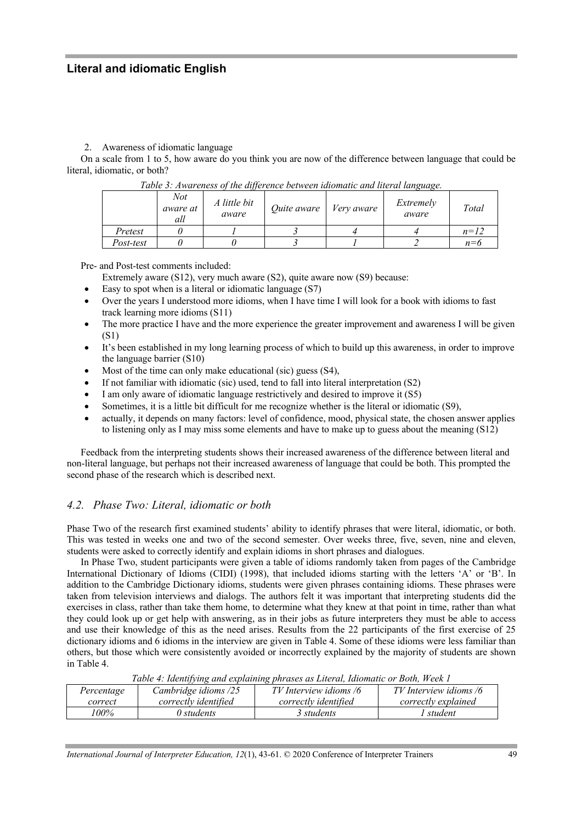## 2. Awareness of idiomatic language

On a scale from 1 to 5, how aware do you think you are now of the difference between language that could be literal, idiomatic, or both?

|           | Not<br>aware at<br>all | A little bit<br>aware | Quite aware | Very aware | Extremely<br>aware | Total  |
|-----------|------------------------|-----------------------|-------------|------------|--------------------|--------|
| Pretest   |                        |                       |             |            |                    | $n=12$ |
| Post-test |                        |                       |             |            |                    | $n=6$  |

*Table 3: Awareness of the difference between idiomatic and literal language.*

Pre- and Post-test comments included:

Extremely aware (S12), very much aware (S2), quite aware now (S9) because:

- Easy to spot when is a literal or idiomatic language (S7)
- Over the years I understood more idioms, when I have time I will look for a book with idioms to fast track learning more idioms (S11)
- The more practice I have and the more experience the greater improvement and awareness I will be given (S1)
- It's been established in my long learning process of which to build up this awareness, in order to improve the language barrier (S10)
- Most of the time can only make educational (sic) guess (S4),
- If not familiar with idiomatic (sic) used, tend to fall into literal interpretation (S2)
- I am only aware of idiomatic language restrictively and desired to improve it (S5)
- Sometimes, it is a little bit difficult for me recognize whether is the literal or idiomatic (S9),
- actually, it depends on many factors: level of confidence, mood, physical state, the chosen answer applies to listening only as I may miss some elements and have to make up to guess about the meaning (S12)

Feedback from the interpreting students shows their increased awareness of the difference between literal and non-literal language, but perhaps not their increased awareness of language that could be both. This prompted the second phase of the research which is described next.

# *4.2. Phase Two: Literal, idiomatic or both*

Phase Two of the research first examined students' ability to identify phrases that were literal, idiomatic, or both. This was tested in weeks one and two of the second semester. Over weeks three, five, seven, nine and eleven, students were asked to correctly identify and explain idioms in short phrases and dialogues.

In Phase Two, student participants were given a table of idioms randomly taken from pages of the Cambridge International Dictionary of Idioms (CIDI) (1998), that included idioms starting with the letters 'A' or 'B'. In addition to the Cambridge Dictionary idioms, students were given phrases containing idioms. These phrases were taken from television interviews and dialogs. The authors felt it was important that interpreting students did the exercises in class, rather than take them home, to determine what they knew at that point in time, rather than what they could look up or get help with answering, as in their jobs as future interpreters they must be able to access and use their knowledge of this as the need arises. Results from the 22 participants of the first exercise of 25 dictionary idioms and 6 idioms in the interview are given in Table 4. Some of these idioms were less familiar than others, but those which were consistently avoided or incorrectly explained by the majority of students are shown in Table 4.

*Percentage correct Cambridge idioms /25 correctly identified TV Interview idioms /6 correctly identified TV Interview idioms /6 correctly explained 100% 0 students 3 students 1 student*

*Table 4: Identifying and explaining phrases as Literal, Idiomatic or Both, Week 1*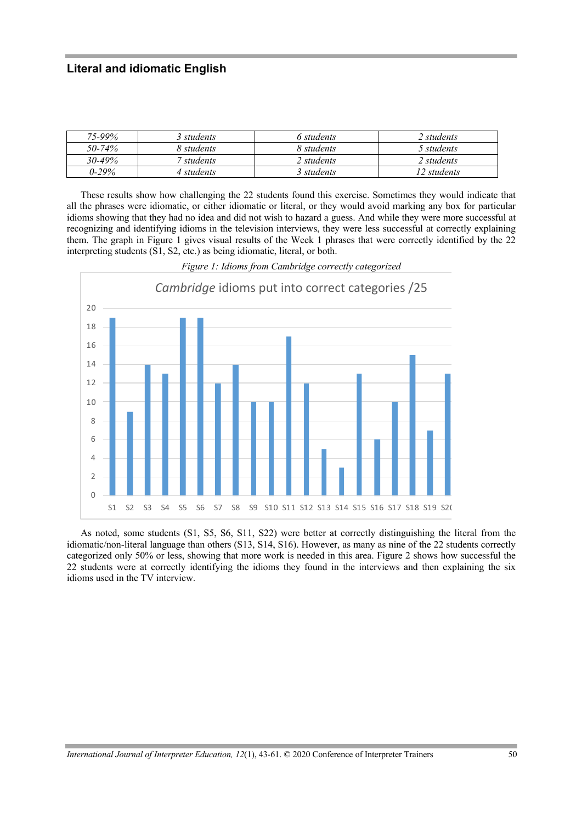| 75-99%      | 3 students | 6 students | $2$ students |
|-------------|------------|------------|--------------|
| 50-74%      | 8 students | 8 students | 5 students   |
| $30 - 49\%$ | students   | 2 students | ? students   |
| በ-29%       | 4 students | 3 students | 12 students  |

These results show how challenging the 22 students found this exercise. Sometimes they would indicate that all the phrases were idiomatic, or either idiomatic or literal, or they would avoid marking any box for particular idioms showing that they had no idea and did not wish to hazard a guess. And while they were more successful at recognizing and identifying idioms in the television interviews, they were less successful at correctly explaining them. The graph in Figure 1 gives visual results of the Week 1 phrases that were correctly identified by the 22 interpreting students (S1, S2, etc.) as being idiomatic, literal, or both.



*Figure 1: Idioms from Cambridge correctly categorized*

As noted, some students (S1, S5, S6, S11, S22) were better at correctly distinguishing the literal from the idiomatic/non-literal language than others (S13, S14, S16). However, as many as nine of the 22 students correctly categorized only 50% or less, showing that more work is needed in this area. Figure 2 shows how successful the 22 students were at correctly identifying the idioms they found in the interviews and then explaining the six idioms used in the TV interview.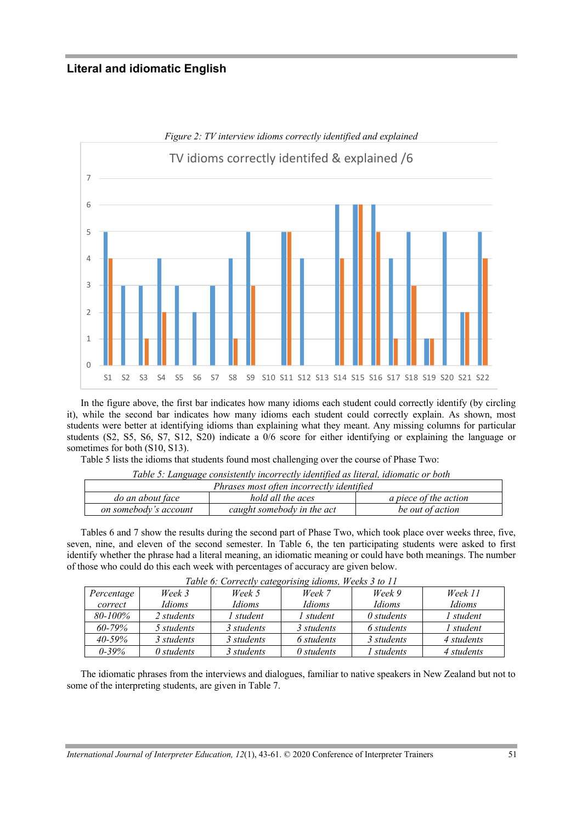

In the figure above, the first bar indicates how many idioms each student could correctly identify (by circling it), while the second bar indicates how many idioms each student could correctly explain. As shown, most students were better at identifying idioms than explaining what they meant. Any missing columns for particular students (S2, S5, S6, S7, S12, S20) indicate a 0/6 score for either identifying or explaining the language or sometimes for both (S10, S13).

Table 5 lists the idioms that students found most challenging over the course of Phase Two:

| Table 5: Language consistently incorrectly identified as literal, idiomatic or both |                   |                              |  |  |  |
|-------------------------------------------------------------------------------------|-------------------|------------------------------|--|--|--|
| Phrases most often incorrectly identified                                           |                   |                              |  |  |  |
| do an about face                                                                    | hold all the aces | <i>a piece of the action</i> |  |  |  |
| on somebody's account<br>caught somebody in the act<br>be out of action             |                   |                              |  |  |  |
|                                                                                     |                   |                              |  |  |  |

Tables 6 and 7 show the results during the second part of Phase Two, which took place over weeks three, five, seven, nine, and eleven of the second semester. In Table 6, the ten participating students were asked to first identify whether the phrase had a literal meaning, an idiomatic meaning or could have both meanings. The number of those who could do this each week with percentages of accuracy are given below.

| Table 6: Correctly calegorising latoms, weeks 5 to 11 |               |               |                   |                   |            |  |
|-------------------------------------------------------|---------------|---------------|-------------------|-------------------|------------|--|
| Percentage                                            | Week 3        | Week 5        | Week 7            | Week 9            | Week 11    |  |
| correct                                               | <i>Idioms</i> | <i>Idioms</i> | <b>Idioms</b>     | Idioms            | Idioms     |  |
| 80-100%                                               | 2 students    | l student     | student           | $\theta$ students | 1 student  |  |
| $60 - 79\%$                                           | 5 students    | 3 students    | 3 students        | 6 students        | 1 student  |  |
| $40 - 59\%$                                           | 3 students    | 3 students    | 6 students        | 3 students        | 4 students |  |
| $0 - 39\%$                                            | 0 students    | 3 students    | $\theta$ students | students          | 4 students |  |

|  |  | Table 6: Correctly categorising idioms, Weeks 3 to 11 |
|--|--|-------------------------------------------------------|
|  |  |                                                       |

The idiomatic phrases from the interviews and dialogues, familiar to native speakers in New Zealand but not to some of the interpreting students, are given in Table 7.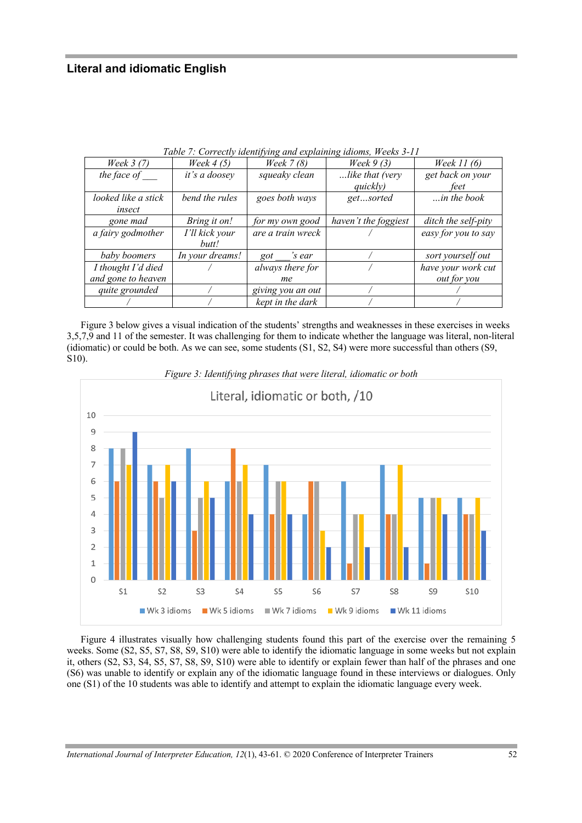| Week 3 (7)          | Week $4(5)$     | <br>Week $7(8)$   | $\cdot$<br>Week $9(3)$ | <i>Week 11 (6)</i>  |
|---------------------|-----------------|-------------------|------------------------|---------------------|
| the face of         | it's a doosey   | squeaky clean     | like that (very        | get back on your    |
|                     |                 |                   | quickly)               | feet                |
| looked like a stick | bend the rules  | goes both ways    | getsorted              | $$ in the book      |
| insect              |                 |                   |                        |                     |
| gone mad            | Bring it on!    | for my own good   | haven't the foggiest   | ditch the self-pity |
| a fairy godmother   | I'll kick your  | are a train wreck |                        | easy for you to say |
|                     | butt!           |                   |                        |                     |
| baby boomers        | In your dreams! | 's ear<br>got     |                        | sort yourself out   |
| I thought I'd died  |                 | always there for  |                        | have your work cut  |
| and gone to heaven  |                 | me                |                        | <i>out for you</i>  |
| quite grounded      |                 | giving you an out |                        |                     |
|                     |                 | kept in the dark  |                        |                     |

*Table 7: Correctly identifying and explaining idioms, Weeks 3-11*

Figure 3 below gives a visual indication of the students' strengths and weaknesses in these exercises in weeks 3,5,7,9 and 11 of the semester. It was challenging for them to indicate whether the language was literal, non-literal (idiomatic) or could be both. As we can see, some students (S1, S2, S4) were more successful than others (S9, S10).



*Figure 3: Identifying phrases that were literal, idiomatic or both*

Figure 4 illustrates visually how challenging students found this part of the exercise over the remaining 5 weeks. Some (S2, S5, S7, S8, S9, S10) were able to identify the idiomatic language in some weeks but not explain it, others (S2, S3, S4, S5, S7, S8, S9, S10) were able to identify or explain fewer than half of the phrases and one (S6) was unable to identify or explain any of the idiomatic language found in these interviews or dialogues. Only one (S1) of the 10 students was able to identify and attempt to explain the idiomatic language every week.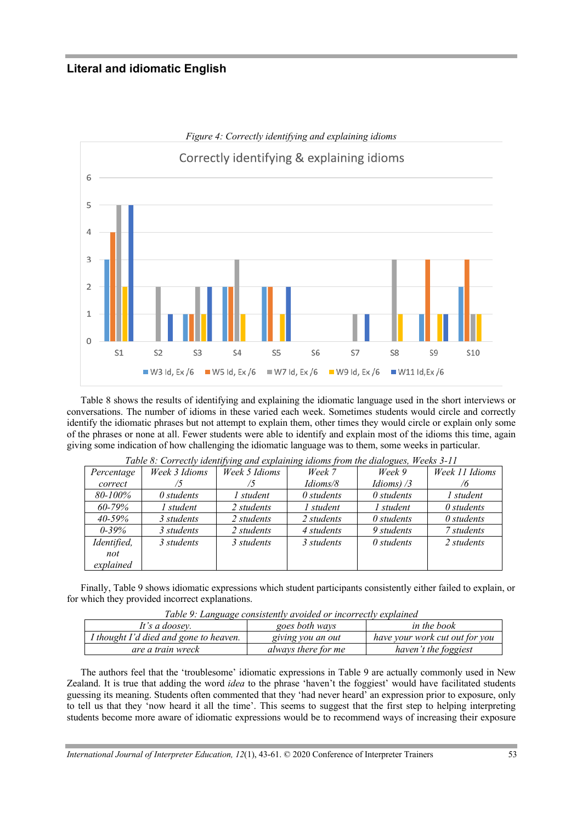

Table 8 shows the results of identifying and explaining the idiomatic language used in the short interviews or conversations. The number of idioms in these varied each week. Sometimes students would circle and correctly identify the idiomatic phrases but not attempt to explain them, other times they would circle or explain only some of the phrases or none at all. Fewer students were able to identify and explain most of the idioms this time, again giving some indication of how challenging the idiomatic language was to them, some weeks in particular.

|             | Table 8: Correctly identifying and explaining tatoms from the didlogues, weeks 3-11 |               |                   |                   |                   |  |  |
|-------------|-------------------------------------------------------------------------------------|---------------|-------------------|-------------------|-------------------|--|--|
| Percentage  | Week 3 Idioms                                                                       | Week 5 Idioms | Week 7            | Week 9            | Week 11 Idioms    |  |  |
| correct     |                                                                                     | 5             | Idioms/8          | Idioms) $/3$      | 76                |  |  |
| 80-100%     | $\theta$ students                                                                   | 1 student     | $\theta$ students | $\theta$ students | 1 student         |  |  |
| $60 - 79\%$ | 1 student                                                                           | 2 students    | 1 student         | 1 student         | $\theta$ students |  |  |
| $40 - 59\%$ | 3 students                                                                          | 2 students    | 2 students        | $\theta$ students | $\theta$ students |  |  |
| $0 - 39\%$  | 3 students                                                                          | 2 students    | 4 students        | 9 students        | 7 students        |  |  |
| Identified, | 3 students                                                                          | 3 students    | 3 students        | $\theta$ students | 2 students        |  |  |
| not         |                                                                                     |               |                   |                   |                   |  |  |
| explained   |                                                                                     |               |                   |                   |                   |  |  |

*Table 8: Correctly identifying and explaining idioms from the dialogues, Weeks 3-11*

Finally, Table 9 shows idiomatic expressions which student participants consistently either failed to explain, or for which they provided incorrect explanations.

| Table 9: Language consistently avoided or incorrectly explained  |                   |                                |  |  |  |
|------------------------------------------------------------------|-------------------|--------------------------------|--|--|--|
| in the book<br>It's a doosey.<br>goes both ways                  |                   |                                |  |  |  |
| I thought I'd died and gone to heaven.                           | giving you an out | have your work cut out for you |  |  |  |
| haven't the foggiest<br>always there for me<br>are a train wreck |                   |                                |  |  |  |

The authors feel that the 'troublesome' idiomatic expressions in Table 9 are actually commonly used in New Zealand. It is true that adding the word *idea* to the phrase 'haven't the foggiest' would have facilitated students guessing its meaning. Students often commented that they 'had never heard' an expression prior to exposure, only to tell us that they 'now heard it all the time'. This seems to suggest that the first step to helping interpreting students become more aware of idiomatic expressions would be to recommend ways of increasing their exposure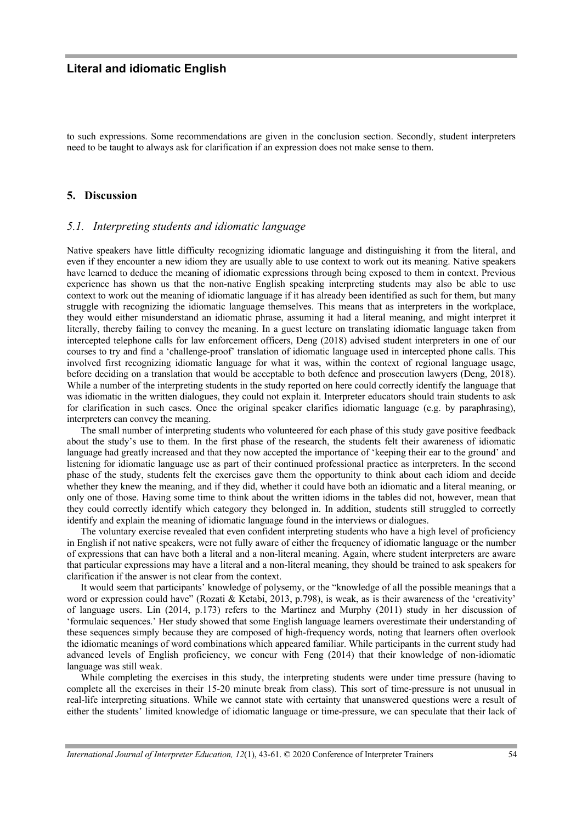to such expressions. Some recommendations are given in the conclusion section. Secondly, student interpreters need to be taught to always ask for clarification if an expression does not make sense to them.

## **5. Discussion**

#### *5.1. Interpreting students and idiomatic language*

Native speakers have little difficulty recognizing idiomatic language and distinguishing it from the literal, and even if they encounter a new idiom they are usually able to use context to work out its meaning. Native speakers have learned to deduce the meaning of idiomatic expressions through being exposed to them in context. Previous experience has shown us that the non-native English speaking interpreting students may also be able to use context to work out the meaning of idiomatic language if it has already been identified as such for them, but many struggle with recognizing the idiomatic language themselves. This means that as interpreters in the workplace, they would either misunderstand an idiomatic phrase, assuming it had a literal meaning, and might interpret it literally, thereby failing to convey the meaning. In a guest lecture on translating idiomatic language taken from intercepted telephone calls for law enforcement officers, Deng (2018) advised student interpreters in one of our courses to try and find a 'challenge-proof' translation of idiomatic language used in intercepted phone calls. This involved first recognizing idiomatic language for what it was, within the context of regional language usage, before deciding on a translation that would be acceptable to both defence and prosecution lawyers (Deng, 2018). While a number of the interpreting students in the study reported on here could correctly identify the language that was idiomatic in the written dialogues, they could not explain it. Interpreter educators should train students to ask for clarification in such cases. Once the original speaker clarifies idiomatic language (e.g. by paraphrasing), interpreters can convey the meaning.

The small number of interpreting students who volunteered for each phase of this study gave positive feedback about the study's use to them. In the first phase of the research, the students felt their awareness of idiomatic language had greatly increased and that they now accepted the importance of 'keeping their ear to the ground' and listening for idiomatic language use as part of their continued professional practice as interpreters. In the second phase of the study, students felt the exercises gave them the opportunity to think about each idiom and decide whether they knew the meaning, and if they did, whether it could have both an idiomatic and a literal meaning, or only one of those. Having some time to think about the written idioms in the tables did not, however, mean that they could correctly identify which category they belonged in. In addition, students still struggled to correctly identify and explain the meaning of idiomatic language found in the interviews or dialogues.

The voluntary exercise revealed that even confident interpreting students who have a high level of proficiency in English if not native speakers, were not fully aware of either the frequency of idiomatic language or the number of expressions that can have both a literal and a non-literal meaning. Again, where student interpreters are aware that particular expressions may have a literal and a non-literal meaning, they should be trained to ask speakers for clarification if the answer is not clear from the context.

It would seem that participants' knowledge of polysemy, or the "knowledge of all the possible meanings that a word or expression could have" (Rozati & Ketabi, 2013, p.798), is weak, as is their awareness of the 'creativity' of language users. Lin (2014, p.173) refers to the Martinez and Murphy (2011) study in her discussion of 'formulaic sequences.' Her study showed that some English language learners overestimate their understanding of these sequences simply because they are composed of high-frequency words, noting that learners often overlook the idiomatic meanings of word combinations which appeared familiar. While participants in the current study had advanced levels of English proficiency, we concur with Feng (2014) that their knowledge of non-idiomatic language was still weak.

While completing the exercises in this study, the interpreting students were under time pressure (having to complete all the exercises in their 15-20 minute break from class). This sort of time-pressure is not unusual in real-life interpreting situations. While we cannot state with certainty that unanswered questions were a result of either the students' limited knowledge of idiomatic language or time-pressure, we can speculate that their lack of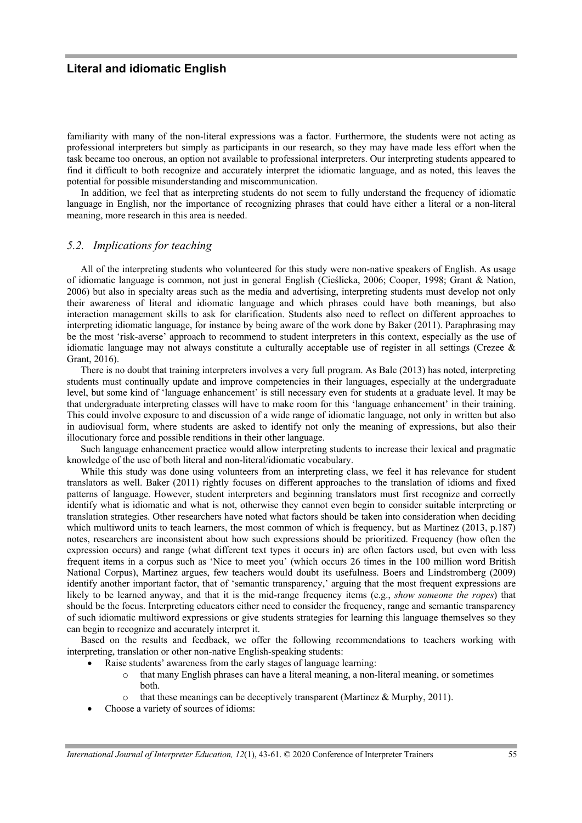familiarity with many of the non-literal expressions was a factor. Furthermore, the students were not acting as professional interpreters but simply as participants in our research, so they may have made less effort when the task became too onerous, an option not available to professional interpreters. Our interpreting students appeared to find it difficult to both recognize and accurately interpret the idiomatic language, and as noted, this leaves the potential for possible misunderstanding and miscommunication.

In addition, we feel that as interpreting students do not seem to fully understand the frequency of idiomatic language in English, nor the importance of recognizing phrases that could have either a literal or a non-literal meaning, more research in this area is needed.

## *5.2. Implications for teaching*

All of the interpreting students who volunteered for this study were non-native speakers of English. As usage of idiomatic language is common, not just in general English (Cieślicka, 2006; Cooper, 1998; Grant & Nation, 2006) but also in specialty areas such as the media and advertising, interpreting students must develop not only their awareness of literal and idiomatic language and which phrases could have both meanings, but also interaction management skills to ask for clarification. Students also need to reflect on different approaches to interpreting idiomatic language, for instance by being aware of the work done by Baker (2011). Paraphrasing may be the most 'risk-averse' approach to recommend to student interpreters in this context, especially as the use of idiomatic language may not always constitute a culturally acceptable use of register in all settings (Crezee & Grant, 2016).

There is no doubt that training interpreters involves a very full program. As Bale (2013) has noted, interpreting students must continually update and improve competencies in their languages, especially at the undergraduate level, but some kind of 'language enhancement' is still necessary even for students at a graduate level. It may be that undergraduate interpreting classes will have to make room for this 'language enhancement' in their training. This could involve exposure to and discussion of a wide range of idiomatic language, not only in written but also in audiovisual form, where students are asked to identify not only the meaning of expressions, but also their illocutionary force and possible renditions in their other language.

Such language enhancement practice would allow interpreting students to increase their lexical and pragmatic knowledge of the use of both literal and non-literal/idiomatic vocabulary.

While this study was done using volunteers from an interpreting class, we feel it has relevance for student translators as well. Baker (2011) rightly focuses on different approaches to the translation of idioms and fixed patterns of language. However, student interpreters and beginning translators must first recognize and correctly identify what is idiomatic and what is not, otherwise they cannot even begin to consider suitable interpreting or translation strategies. Other researchers have noted what factors should be taken into consideration when deciding which multiword units to teach learners, the most common of which is frequency, but as Martinez (2013, p.187) notes, researchers are inconsistent about how such expressions should be prioritized. Frequency (how often the expression occurs) and range (what different text types it occurs in) are often factors used, but even with less frequent items in a corpus such as 'Nice to meet you' (which occurs 26 times in the 100 million word British National Corpus), Martinez argues, few teachers would doubt its usefulness. Boers and Lindstromberg (2009) identify another important factor, that of 'semantic transparency,' arguing that the most frequent expressions are likely to be learned anyway, and that it is the mid-range frequency items (e.g., *show someone the ropes*) that should be the focus. Interpreting educators either need to consider the frequency, range and semantic transparency of such idiomatic multiword expressions or give students strategies for learning this language themselves so they can begin to recognize and accurately interpret it.

Based on the results and feedback, we offer the following recommendations to teachers working with interpreting, translation or other non-native English-speaking students:

- Raise students' awareness from the early stages of language learning:
	- o that many English phrases can have a literal meaning, a non-literal meaning, or sometimes both.
	- that these meanings can be deceptively transparent (Martinez & Murphy, 2011).
- Choose a variety of sources of idioms: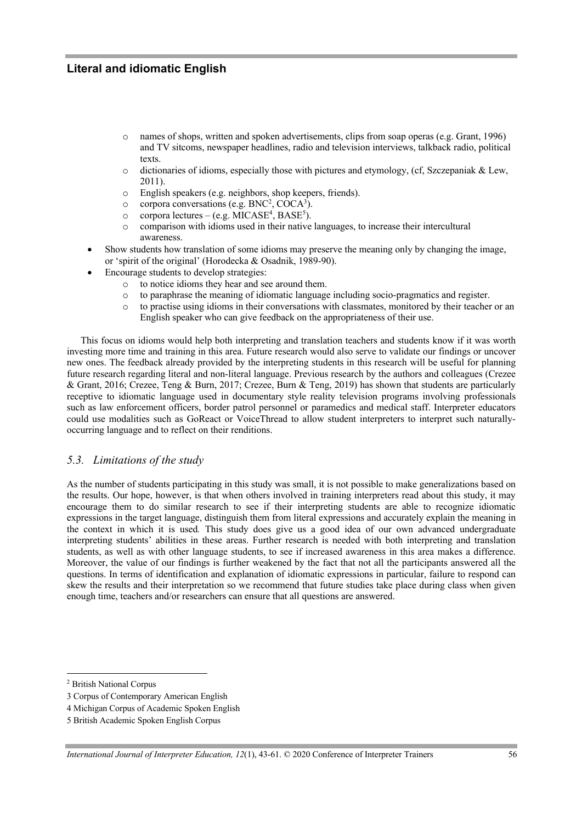- o names of shops, written and spoken advertisements, clips from soap operas (e.g. Grant, 1996) and TV sitcoms, newspaper headlines, radio and television interviews, talkback radio, political texts.
- o dictionaries of idioms, especially those with pictures and etymology, (cf, Szczepaniak & Lew, 2011).
- o English speakers (e.g. neighbors, shop keepers, friends).
- $\circ$  corpora conversations (e.g. BNC<sup>2</sup>, COCA<sup>3</sup>).
- $\circ$  corpora lectures (e.g. MICASE<sup>4</sup>, BASE<sup>5</sup>).
- o comparison with idioms used in their native languages, to increase their intercultural awareness.
- Show students how translation of some idioms may preserve the meaning only by changing the image, or 'spirit of the original' (Horodecka & Osadnik, 1989-90).
- Encourage students to develop strategies:
	- o to notice idioms they hear and see around them.
	- o to paraphrase the meaning of idiomatic language including socio-pragmatics and register.
	- o to practise using idioms in their conversations with classmates, monitored by their teacher or an English speaker who can give feedback on the appropriateness of their use.

This focus on idioms would help both interpreting and translation teachers and students know if it was worth investing more time and training in this area. Future research would also serve to validate our findings or uncover new ones. The feedback already provided by the interpreting students in this research will be useful for planning future research regarding literal and non-literal language. Previous research by the authors and colleagues (Crezee & Grant, 2016; Crezee, Teng & Burn, 2017; Crezee, Burn & Teng, 2019) has shown that students are particularly receptive to idiomatic language used in documentary style reality television programs involving professionals such as law enforcement officers, border patrol personnel or paramedics and medical staff. Interpreter educators could use modalities such as GoReact or VoiceThread to allow student interpreters to interpret such naturallyoccurring language and to reflect on their renditions.

## *5.3. Limitations of the study*

As the number of students participating in this study was small, it is not possible to make generalizations based on the results. Our hope, however, is that when others involved in training interpreters read about this study, it may encourage them to do similar research to see if their interpreting students are able to recognize idiomatic expressions in the target language, distinguish them from literal expressions and accurately explain the meaning in the context in which it is used*.* This study does give us a good idea of our own advanced undergraduate interpreting students' abilities in these areas. Further research is needed with both interpreting and translation students, as well as with other language students, to see if increased awareness in this area makes a difference. Moreover, the value of our findings is further weakened by the fact that not all the participants answered all the questions. In terms of identification and explanation of idiomatic expressions in particular, failure to respond can skew the results and their interpretation so we recommend that future studies take place during class when given enough time, teachers and/or researchers can ensure that all questions are answered.

<sup>2</sup> British National Corpus

<sup>3</sup> Corpus of Contemporary American English

<sup>4</sup> Michigan Corpus of Academic Spoken English

<sup>5</sup> British Academic Spoken English Corpus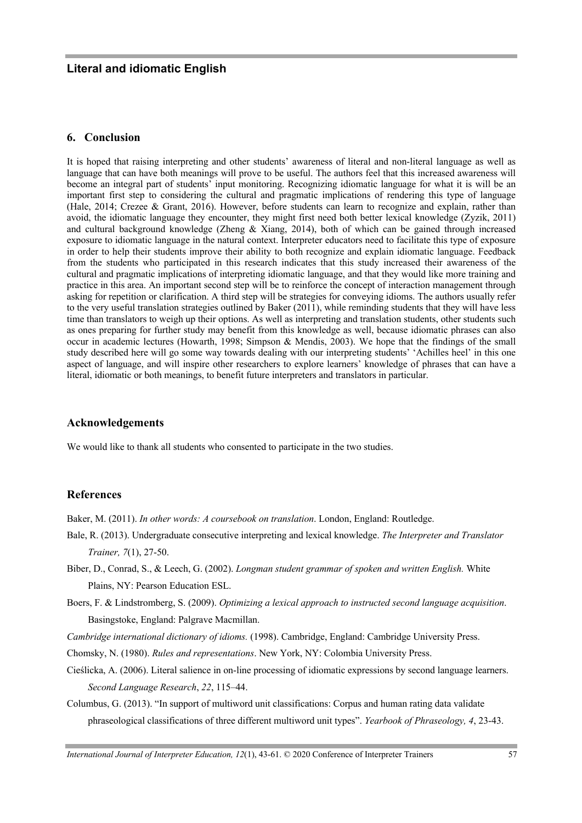## **6. Conclusion**

It is hoped that raising interpreting and other students' awareness of literal and non-literal language as well as language that can have both meanings will prove to be useful. The authors feel that this increased awareness will become an integral part of students' input monitoring. Recognizing idiomatic language for what it is will be an important first step to considering the cultural and pragmatic implications of rendering this type of language (Hale, 2014; Crezee & Grant, 2016). However, before students can learn to recognize and explain, rather than avoid, the idiomatic language they encounter, they might first need both better lexical knowledge (Zyzik, 2011) and cultural background knowledge (Zheng & Xiang, 2014), both of which can be gained through increased exposure to idiomatic language in the natural context. Interpreter educators need to facilitate this type of exposure in order to help their students improve their ability to both recognize and explain idiomatic language. Feedback from the students who participated in this research indicates that this study increased their awareness of the cultural and pragmatic implications of interpreting idiomatic language, and that they would like more training and practice in this area. An important second step will be to reinforce the concept of interaction management through asking for repetition or clarification. A third step will be strategies for conveying idioms. The authors usually refer to the very useful translation strategies outlined by Baker (2011), while reminding students that they will have less time than translators to weigh up their options. As well as interpreting and translation students, other students such as ones preparing for further study may benefit from this knowledge as well, because idiomatic phrases can also occur in academic lectures (Howarth, 1998; Simpson & Mendis, 2003). We hope that the findings of the small study described here will go some way towards dealing with our interpreting students' 'Achilles heel' in this one aspect of language, and will inspire other researchers to explore learners' knowledge of phrases that can have a literal, idiomatic or both meanings, to benefit future interpreters and translators in particular.

## **Acknowledgements**

We would like to thank all students who consented to participate in the two studies.

## **References**

Baker, M. (2011). *In other words: A coursebook on translation*. London, England: Routledge.

- Bale, R. (2013). Undergraduate consecutive interpreting and lexical knowledge. *The Interpreter and Translator Trainer, 7*(1), 27-50.
- Biber, D., Conrad, S., & Leech, G. (2002). *Longman student grammar of spoken and written English.* White Plains, NY: Pearson Education ESL.
- Boers, F. & Lindstromberg, S. (2009). *Optimizing a lexical approach to instructed second language acquisition*. Basingstoke, England: Palgrave Macmillan.

*Cambridge international dictionary of idioms.* (1998). Cambridge, England: Cambridge University Press.

- Chomsky, N. (1980). *Rules and representations*. New York, NY: Colombia University Press.
- Cieślicka, A. (2006). Literal salience in on-line processing of idiomatic expressions by second language learners. *Second Language Research*, *22*, 115–44.
- Columbus, G. (2013). "In support of multiword unit classifications: Corpus and human rating data validate phraseological classifications of three different multiword unit types". *Yearbook of Phraseology, 4*, 23-43.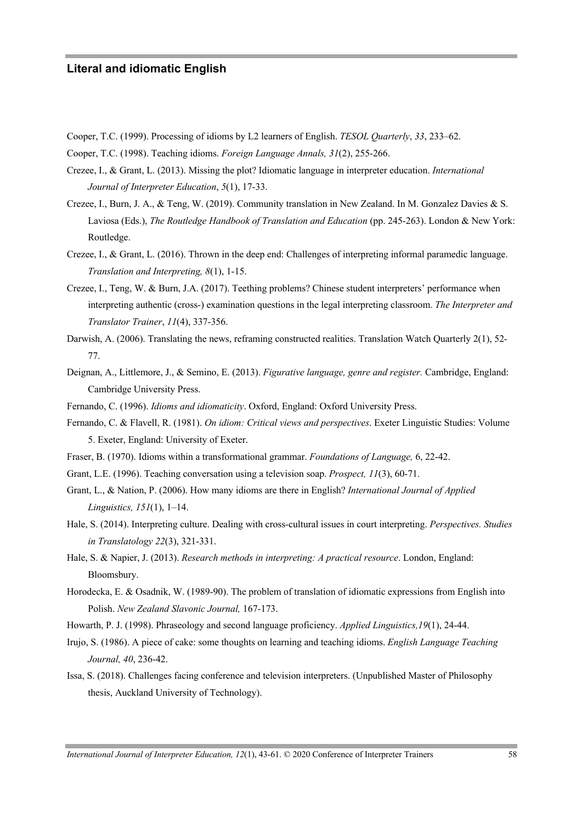- Cooper, T.C. (1999). Processing of idioms by L2 learners of English. *TESOL Quarterly*, *33*, 233–62.
- Cooper, T.C. (1998). Teaching idioms. *Foreign Language Annals, 31*(2), 255-266.
- Crezee, I., & Grant, L. (2013). Missing the plot? Idiomatic language in interpreter education. *International Journal of Interpreter Education*, *5*(1), 17-33.
- Crezee, I., Burn, J. A., & Teng, W. (2019). Community translation in New Zealand. In M. Gonzalez Davies & S. Laviosa (Eds.), *The Routledge Handbook of Translation and Education* (pp. 245-263). London & New York: Routledge.
- Crezee, I., & Grant, L. (2016). Thrown in the deep end: Challenges of interpreting informal paramedic language. *Translation and Interpreting, 8*(1), 1-15.
- Crezee, I., Teng, W. & Burn, J.A. (2017). Teething problems? Chinese student interpreters' performance when interpreting authentic (cross-) examination questions in the legal interpreting classroom. *The Interpreter and Translator Trainer*, *11*(4), 337-356.
- Darwish, A. (2006). Translating the news, reframing constructed realities. Translation Watch Quarterly 2(1), 52-77.
- Deignan, A., Littlemore, J., & Semino, E. (2013). *Figurative language, genre and register.* Cambridge, England: Cambridge University Press.
- Fernando, C. (1996). *Idioms and idiomaticity*. Oxford, England: Oxford University Press.
- Fernando, C. & Flavell, R. (1981). *On idiom: Critical views and perspectives*. Exeter Linguistic Studies: Volume 5. Exeter, England: University of Exeter.
- Fraser, B. (1970). Idioms within a transformational grammar. *Foundations of Language,* 6, 22-42.
- Grant, L.E. (1996). Teaching conversation using a television soap. *Prospect, 11*(3), 60-71.
- Grant, L., & Nation, P. (2006). How many idioms are there in English? *International Journal of Applied Linguistics, 151*(1), 1–14.
- Hale, S. (2014). Interpreting culture. Dealing with cross-cultural issues in court interpreting. *Perspectives. Studies in Translatology 22*(3), 321-331.
- Hale, S. & Napier, J. (2013). *Research methods in interpreting: A practical resource*. London, England: Bloomsbury.
- Horodecka, E. & Osadnik, W. (1989-90). The problem of translation of idiomatic expressions from English into Polish. *New Zealand Slavonic Journal,* 167-173.
- Howarth, P. J. (1998). Phraseology and second language proficiency. *Applied Linguistics,19*(1), 24-44.
- Irujo, S. (1986). A piece of cake: some thoughts on learning and teaching idioms. *English Language Teaching Journal, 40*, 236-42.
- Issa, S. (2018). Challenges facing conference and television interpreters. (Unpublished Master of Philosophy thesis, Auckland University of Technology).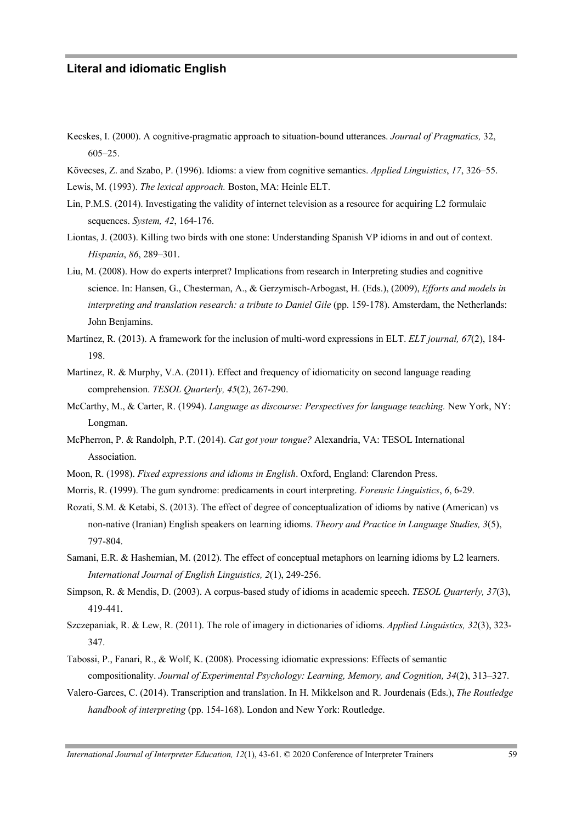- Kecskes, I. (2000). A cognitive-pragmatic approach to situation-bound utterances. *Journal of Pragmatics,* 32, 605–25.
- Kövecses, Z. and Szabo, P. (1996). Idioms: a view from cognitive semantics. *Applied Linguistics*, *17*, 326–55.

Lewis, M. (1993). *The lexical approach.* Boston, MA: Heinle ELT.

- Lin, P.M.S. (2014). Investigating the validity of internet television as a resource for acquiring L2 formulaic sequences. *System, 42*, 164-176.
- Liontas, J. (2003). Killing two birds with one stone: Understanding Spanish VP idioms in and out of context. *Hispania*, *86*, 289–301.
- Liu, M. (2008). How do experts interpret? Implications from research in Interpreting studies and cognitive science. In: Hansen, G., Chesterman, A., & Gerzymisch-Arbogast, H. (Eds.), (2009), *Efforts and models in interpreting and translation research: a tribute to Daniel Gile* (pp. 159-178). Amsterdam, the Netherlands: John Benjamins.
- Martinez, R. (2013). A framework for the inclusion of multi-word expressions in ELT. *ELT journal, 67*(2), 184- 198.
- Martinez, R. & Murphy, V.A. (2011). Effect and frequency of idiomaticity on second language reading comprehension. *TESOL Quarterly, 45*(2), 267-290.
- McCarthy, M., & Carter, R. (1994). *Language as discourse: Perspectives for language teaching.* New York, NY: Longman.
- McPherron, P. & Randolph, P.T. (2014). *Cat got your tongue?* Alexandria, VA: TESOL International Association.
- Moon, R. (1998). *Fixed expressions and idioms in English*. Oxford, England: Clarendon Press.
- Morris, R. (1999). The gum syndrome: predicaments in court interpreting. *Forensic Linguistics*, *6*, 6-29.
- Rozati, S.M. & Ketabi, S. (2013). The effect of degree of conceptualization of idioms by native (American) vs non-native (Iranian) English speakers on learning idioms. *Theory and Practice in Language Studies, 3*(5), 797-804.
- Samani, E.R. & Hashemian, M. (2012). The effect of conceptual metaphors on learning idioms by L2 learners. *International Journal of English Linguistics, 2*(1), 249-256.
- Simpson, R. & Mendis, D. (2003). A corpus-based study of idioms in academic speech. *TESOL Quarterly, 37*(3), 419-441.
- Szczepaniak, R. & Lew, R. (2011). The role of imagery in dictionaries of idioms. *Applied Linguistics, 32*(3), 323- 347.
- Tabossi, P., Fanari, R., & Wolf, K. (2008). Processing idiomatic expressions: Effects of semantic compositionality. *Journal of Experimental Psychology: Learning, Memory, and Cognition, 34*(2), 313–327.
- Valero-Garces, C. (2014). Transcription and translation. In H. Mikkelson and R. Jourdenais (Eds.), *The Routledge handbook of interpreting* (pp. 154-168). London and New York: Routledge.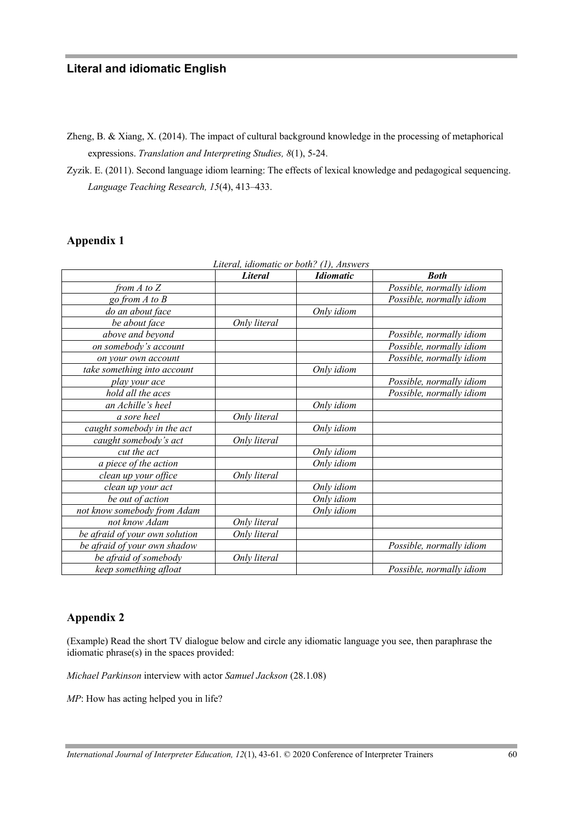Zheng, B. & Xiang, X. (2014). The impact of cultural background knowledge in the processing of metaphorical expressions. *Translation and Interpreting Studies, 8*(1), 5-24.

Zyzik. E. (2011). Second language idiom learning: The effects of lexical knowledge and pedagogical sequencing. *Language Teaching Research, 15*(4), 413–433.

# **Appendix 1**

|                                | Literal, idiomatic or both? (1), Answers |                  |                          |
|--------------------------------|------------------------------------------|------------------|--------------------------|
|                                | <b>Literal</b>                           | <b>Idiomatic</b> | <b>Both</b>              |
| from $A$ to $Z$                |                                          |                  | Possible, normally idiom |
| go from $A$ to $B$             |                                          |                  | Possible, normally idiom |
| do an about face               |                                          | Only idiom       |                          |
| be about face                  | Only literal                             |                  |                          |
| above and beyond               |                                          |                  | Possible, normally idiom |
| on somebody's account          |                                          |                  | Possible, normally idiom |
| on your own account            |                                          |                  | Possible, normally idiom |
| take something into account    |                                          | Only idiom       |                          |
| play your ace                  |                                          |                  | Possible, normally idiom |
| hold all the aces              |                                          |                  | Possible, normally idiom |
| an Achille's heel              |                                          | Only idiom       |                          |
| a sore heel                    | Only literal                             |                  |                          |
| caught somebody in the act     |                                          | Only idiom       |                          |
| caught somebody's act          | Only literal                             |                  |                          |
| cut the act                    |                                          | Only idiom       |                          |
| a piece of the action          |                                          | Only idiom       |                          |
| clean up your office           | Only literal                             |                  |                          |
| clean up your act              |                                          | Only idiom       |                          |
| be out of action               |                                          | Only idiom       |                          |
| not know somebody from Adam    |                                          | Only idiom       |                          |
| not know Adam                  | Only literal                             |                  |                          |
| be afraid of your own solution | Only literal                             |                  |                          |
| be afraid of your own shadow   |                                          |                  | Possible, normally idiom |
| be afraid of somebody          | Only literal                             |                  |                          |
| keep something afloat          |                                          |                  | Possible, normally idiom |

# **Appendix 2**

(Example) Read the short TV dialogue below and circle any idiomatic language you see, then paraphrase the idiomatic phrase(s) in the spaces provided:

*Michael Parkinson* interview with actor *Samuel Jackson* (28.1.08)

*MP*: How has acting helped you in life?